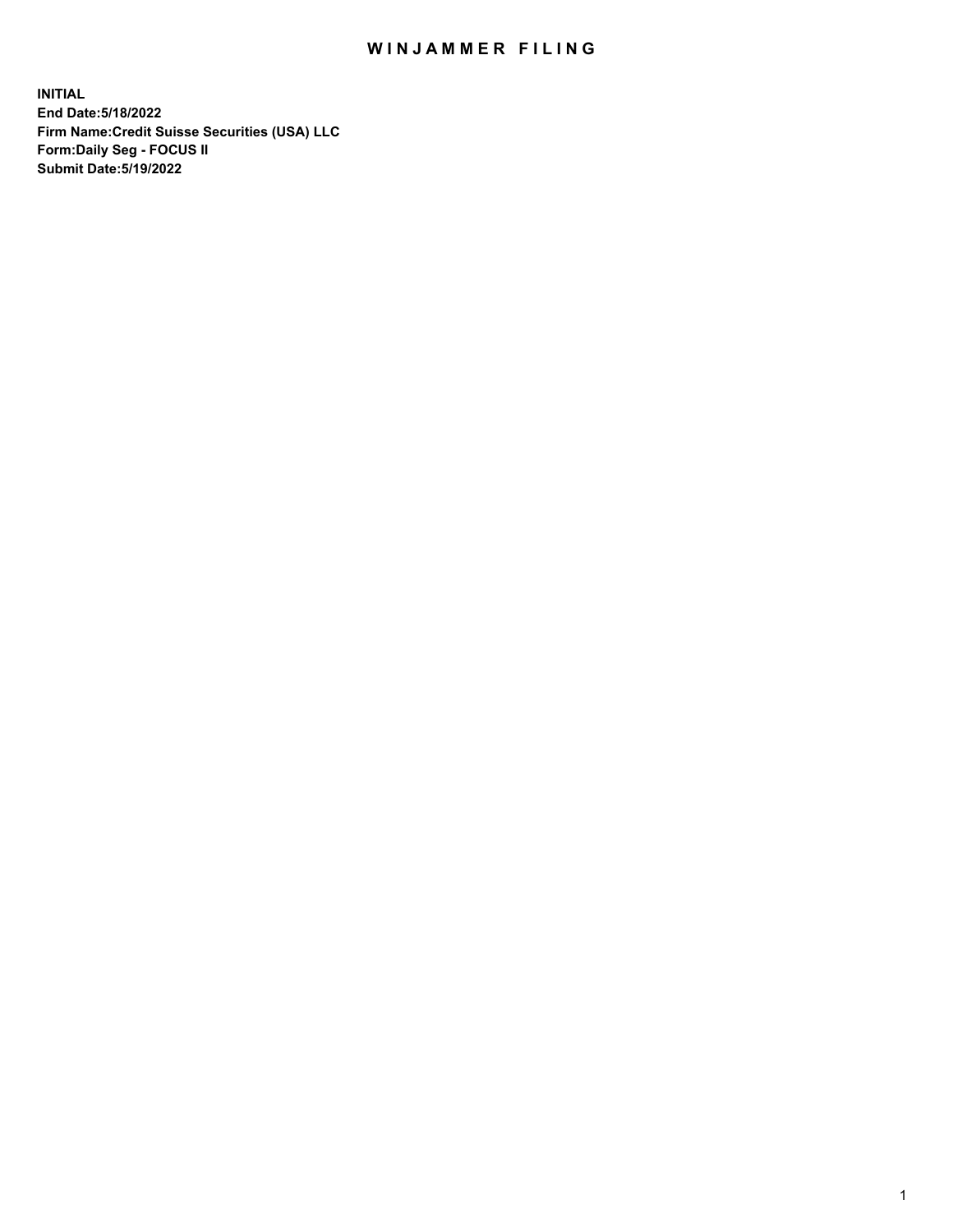## WIN JAMMER FILING

**INITIAL End Date:5/18/2022 Firm Name:Credit Suisse Securities (USA) LLC Form:Daily Seg - FOCUS II Submit Date:5/19/2022**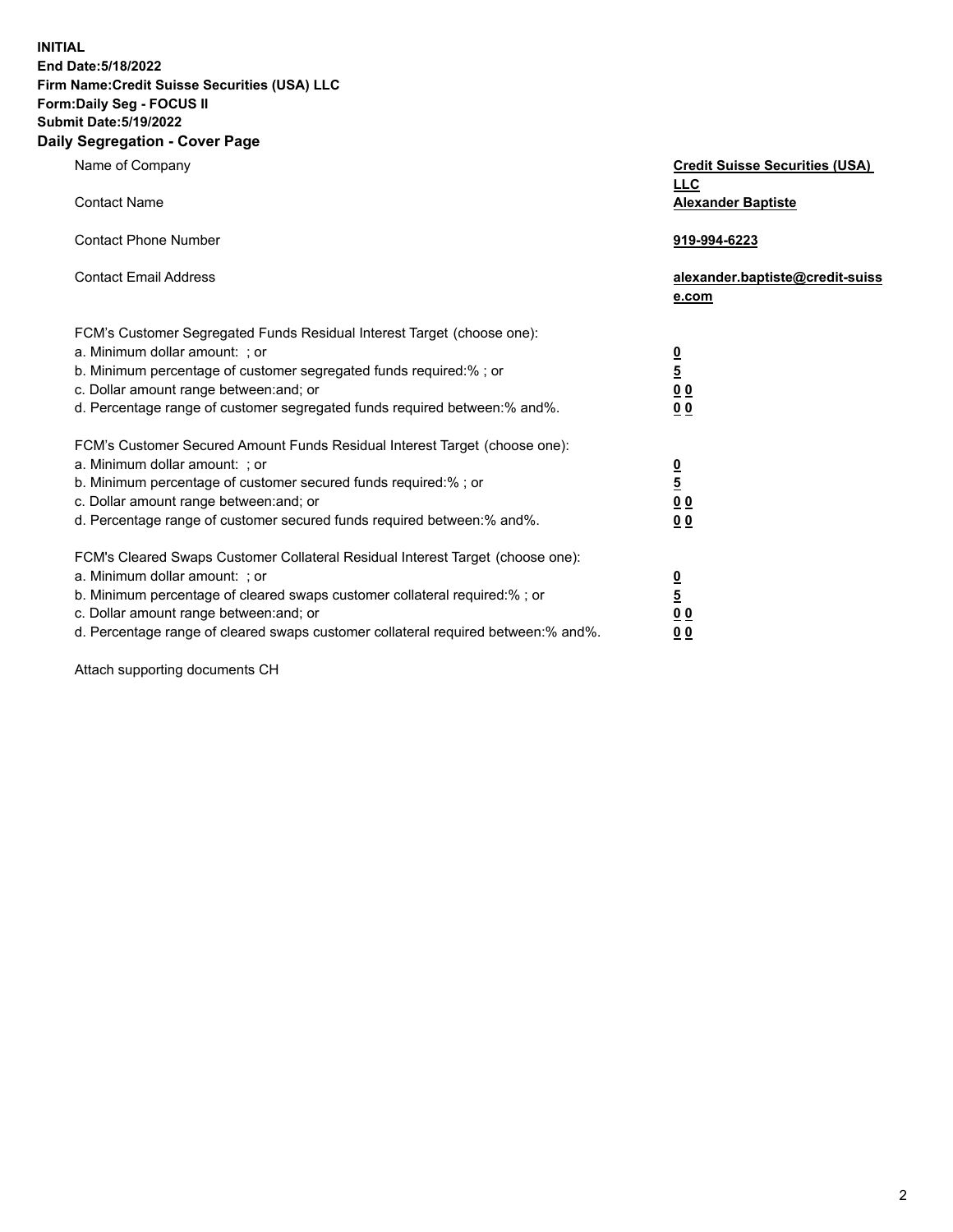**INITIAL End Date:5/18/2022** 

# **Firm Name:Credit Suisse Securities (USA) LLC Form:Daily Seg - FOCUS II Submit Date:5/19/2022**

### **Daily Segregation - Cover Page**

| Name of Company                                                                                                                                                                                                                                                                                                                | <b>Credit Suisse Securities (USA)</b><br><b>LLC</b>              |
|--------------------------------------------------------------------------------------------------------------------------------------------------------------------------------------------------------------------------------------------------------------------------------------------------------------------------------|------------------------------------------------------------------|
| <b>Contact Name</b>                                                                                                                                                                                                                                                                                                            | <b>Alexander Baptiste</b>                                        |
| <b>Contact Phone Number</b>                                                                                                                                                                                                                                                                                                    | 919-994-6223                                                     |
| <b>Contact Email Address</b>                                                                                                                                                                                                                                                                                                   | alexander.baptiste@credit-suiss<br>e.com                         |
| FCM's Customer Segregated Funds Residual Interest Target (choose one):<br>a. Minimum dollar amount: ; or<br>b. Minimum percentage of customer segregated funds required:% ; or<br>c. Dollar amount range between: and; or<br>d. Percentage range of customer segregated funds required between:% and%.                         | $\frac{\frac{0}{5}}{\frac{0}{0}}$<br>0 <sub>0</sub>              |
| FCM's Customer Secured Amount Funds Residual Interest Target (choose one):<br>a. Minimum dollar amount: ; or<br>b. Minimum percentage of customer secured funds required:% ; or<br>c. Dollar amount range between: and; or<br>d. Percentage range of customer secured funds required between:% and%.                           | $\frac{0}{5}$<br>$\underline{0} \underline{0}$<br>0 <sub>0</sub> |
| FCM's Cleared Swaps Customer Collateral Residual Interest Target (choose one):<br>a. Minimum dollar amount: ; or<br>b. Minimum percentage of cleared swaps customer collateral required:% ; or<br>c. Dollar amount range between: and; or<br>d. Percentage range of cleared swaps customer collateral required between:% and%. | $\frac{0}{5}$<br>0 <sub>0</sub><br>0 <sub>0</sub>                |

Attach supporting documents CH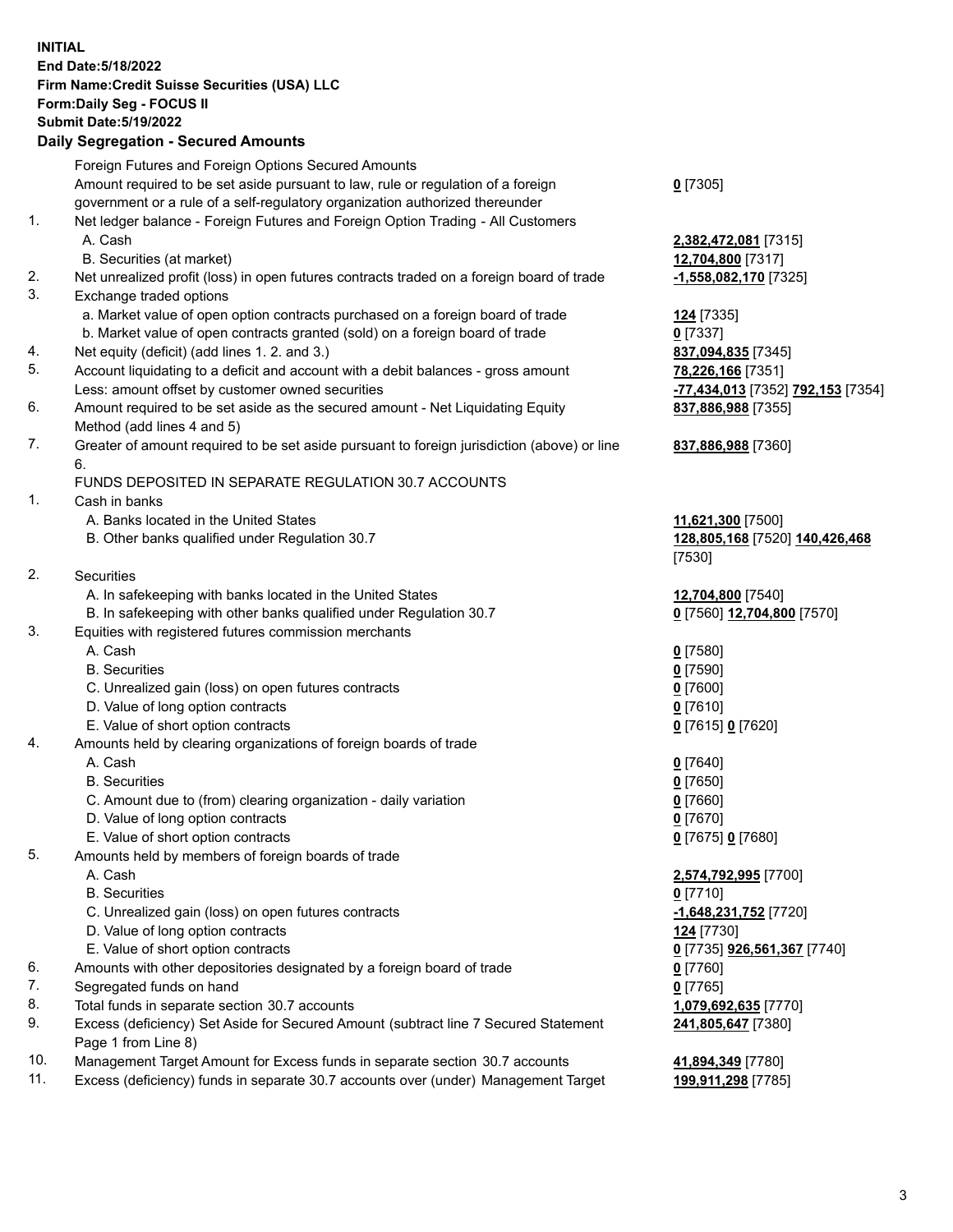#### **INITIAL End Date:5/18/2022 Firm Name:Credit Suisse Securities (USA) LLC Form:Daily Seg - FOCUS II Submit Date:5/19/2022**

### **Daily Segregation - Secured Amounts**

|     | Foreign Futures and Foreign Options Secured Amounts                                         |                                                             |
|-----|---------------------------------------------------------------------------------------------|-------------------------------------------------------------|
|     | Amount required to be set aside pursuant to law, rule or regulation of a foreign            | $0$ [7305]                                                  |
|     | government or a rule of a self-regulatory organization authorized thereunder                |                                                             |
| 1.  | Net ledger balance - Foreign Futures and Foreign Option Trading - All Customers             |                                                             |
|     | A. Cash                                                                                     | 2,382,472,081 [7315]                                        |
|     | B. Securities (at market)                                                                   | 12,704,800 [7317]                                           |
| 2.  | Net unrealized profit (loss) in open futures contracts traded on a foreign board of trade   | -1,558,082,170 [7325]                                       |
| 3.  | Exchange traded options                                                                     |                                                             |
|     | a. Market value of open option contracts purchased on a foreign board of trade              | 124 [7335]                                                  |
|     | b. Market value of open contracts granted (sold) on a foreign board of trade                | $0$ [7337]                                                  |
| 4.  | Net equity (deficit) (add lines 1. 2. and 3.)                                               | 837,094,835 [7345]                                          |
| 5.  | Account liquidating to a deficit and account with a debit balances - gross amount           | 78,226,166 [7351]                                           |
|     | Less: amount offset by customer owned securities                                            | <mark>-77,434,013</mark> [7352] <mark>792,153</mark> [7354] |
| 6.  | Amount required to be set aside as the secured amount - Net Liquidating Equity              | 837,886,988 [7355]                                          |
|     | Method (add lines 4 and 5)                                                                  |                                                             |
| 7.  | Greater of amount required to be set aside pursuant to foreign jurisdiction (above) or line | 837,886,988 [7360]                                          |
|     | 6.                                                                                          |                                                             |
|     | FUNDS DEPOSITED IN SEPARATE REGULATION 30.7 ACCOUNTS                                        |                                                             |
| 1.  | Cash in banks                                                                               |                                                             |
|     | A. Banks located in the United States                                                       | 11,621,300 [7500]                                           |
|     | B. Other banks qualified under Regulation 30.7                                              | 128,805,168 [7520] 140,426,468                              |
|     |                                                                                             | [7530]                                                      |
| 2.  | Securities                                                                                  |                                                             |
|     | A. In safekeeping with banks located in the United States                                   | 12,704,800 [7540]                                           |
|     | B. In safekeeping with other banks qualified under Regulation 30.7                          | 0 [7560] 12,704,800 [7570]                                  |
| 3.  | Equities with registered futures commission merchants                                       |                                                             |
|     | A. Cash                                                                                     | $0$ [7580]                                                  |
|     | <b>B.</b> Securities                                                                        | $0$ [7590]                                                  |
|     | C. Unrealized gain (loss) on open futures contracts                                         | $0$ [7600]                                                  |
|     | D. Value of long option contracts                                                           | $0$ [7610]                                                  |
|     | E. Value of short option contracts                                                          |                                                             |
| 4.  | Amounts held by clearing organizations of foreign boards of trade                           | 0 [7615] 0 [7620]                                           |
|     | A. Cash                                                                                     |                                                             |
|     | <b>B.</b> Securities                                                                        | $0$ [7640]                                                  |
|     |                                                                                             | $0$ [7650]                                                  |
|     | C. Amount due to (from) clearing organization - daily variation                             | $0$ [7660]                                                  |
|     | D. Value of long option contracts                                                           | $0$ [7670]                                                  |
|     | E. Value of short option contracts                                                          | 0 [7675] 0 [7680]                                           |
| 5.  | Amounts held by members of foreign boards of trade                                          |                                                             |
|     | A. Cash                                                                                     | 2,574,792,995 [7700]                                        |
|     | <b>B.</b> Securities                                                                        | $0$ [7710]                                                  |
|     | C. Unrealized gain (loss) on open futures contracts                                         | -1,648,231,752 [7720]                                       |
|     | D. Value of long option contracts                                                           | <u>124</u> [7730]                                           |
|     | E. Value of short option contracts                                                          | 0 [7735] 926,561,367 [7740]                                 |
| 6.  | Amounts with other depositories designated by a foreign board of trade                      | $0$ [7760]                                                  |
| 7.  | Segregated funds on hand                                                                    | $0$ [7765]                                                  |
| 8.  | Total funds in separate section 30.7 accounts                                               | 1,079,692,635 [7770]                                        |
| 9.  | Excess (deficiency) Set Aside for Secured Amount (subtract line 7 Secured Statement         | 241,805,647 [7380]                                          |
| 10. | Page 1 from Line 8)                                                                         |                                                             |
|     | Management Target Amount for Excess funds in separate section 30.7 accounts                 | 41,894,349 [7780]                                           |

11. Excess (deficiency) funds in separate 30.7 accounts over (under) Management Target **199,911,298** [7785]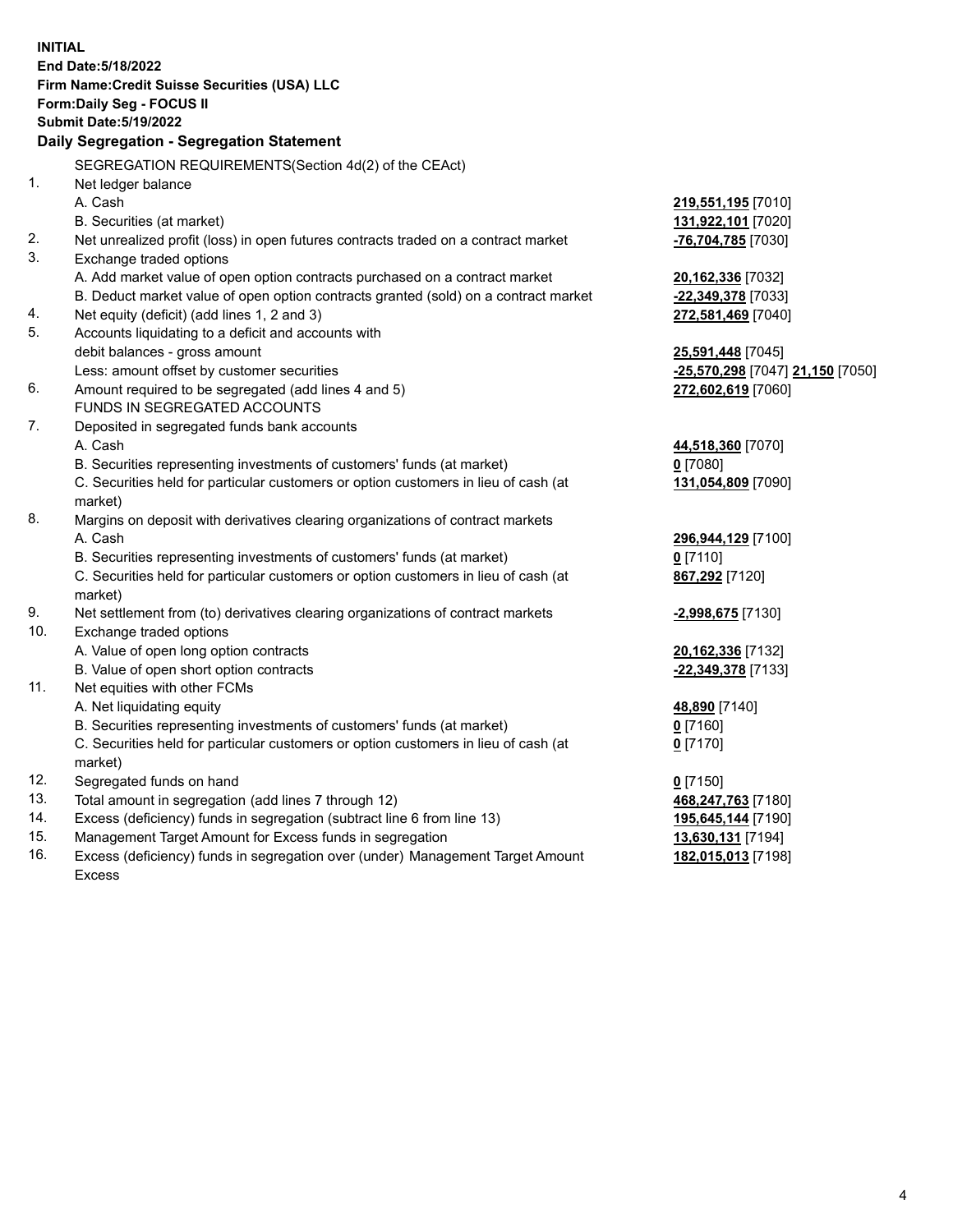|     | <b>INITIAL</b><br>End Date: 5/18/2022                                                |                                  |
|-----|--------------------------------------------------------------------------------------|----------------------------------|
|     |                                                                                      |                                  |
|     | Firm Name: Credit Suisse Securities (USA) LLC<br>Form: Daily Seg - FOCUS II          |                                  |
|     | <b>Submit Date: 5/19/2022</b>                                                        |                                  |
|     | Daily Segregation - Segregation Statement                                            |                                  |
|     |                                                                                      |                                  |
|     | SEGREGATION REQUIREMENTS(Section 4d(2) of the CEAct)                                 |                                  |
| 1.  | Net ledger balance                                                                   |                                  |
|     | A. Cash                                                                              | 219,551,195 [7010]               |
|     | B. Securities (at market)                                                            | 131,922,101 [7020]               |
| 2.  | Net unrealized profit (loss) in open futures contracts traded on a contract market   | -76,704,785 [7030]               |
| 3.  | Exchange traded options                                                              |                                  |
|     | A. Add market value of open option contracts purchased on a contract market          | 20,162,336 [7032]                |
|     | B. Deduct market value of open option contracts granted (sold) on a contract market  | -22,349,378 [7033]               |
| 4.  | Net equity (deficit) (add lines 1, 2 and 3)                                          | 272,581,469 [7040]               |
| 5.  | Accounts liquidating to a deficit and accounts with                                  |                                  |
|     | debit balances - gross amount                                                        | <b>25,591,448</b> [7045]         |
|     | Less: amount offset by customer securities                                           | -25,570,298 [7047] 21,150 [7050] |
| 6.  | Amount required to be segregated (add lines 4 and 5)<br>FUNDS IN SEGREGATED ACCOUNTS | 272,602,619 [7060]               |
| 7.  | Deposited in segregated funds bank accounts                                          |                                  |
|     | A. Cash                                                                              |                                  |
|     | B. Securities representing investments of customers' funds (at market)               | 44,518,360 [7070]<br>$0$ [7080]  |
|     | C. Securities held for particular customers or option customers in lieu of cash (at  | 131,054,809 [7090]               |
|     | market)                                                                              |                                  |
| 8.  | Margins on deposit with derivatives clearing organizations of contract markets       |                                  |
|     | A. Cash                                                                              | 296,944,129 [7100]               |
|     | B. Securities representing investments of customers' funds (at market)               | $0$ [7110]                       |
|     | C. Securities held for particular customers or option customers in lieu of cash (at  | 867,292 [7120]                   |
|     | market)                                                                              |                                  |
| 9.  | Net settlement from (to) derivatives clearing organizations of contract markets      | -2,998,675 [7130]                |
| 10. | Exchange traded options                                                              |                                  |
|     | A. Value of open long option contracts                                               | 20,162,336 [7132]                |
|     | B. Value of open short option contracts                                              | -22,349,378 [7133]               |
| 11. | Net equities with other FCMs                                                         |                                  |
|     | A. Net liquidating equity                                                            | 48,890 [7140]                    |
|     | B. Securities representing investments of customers' funds (at market)               | $0$ [7160]                       |
|     | C. Securities held for particular customers or option customers in lieu of cash (at  | $0$ [7170]                       |
|     | market)                                                                              |                                  |
| 12. | Segregated funds on hand                                                             | $0$ [7150]                       |
| 13. | Total amount in segregation (add lines 7 through 12)                                 | 468,247,763 [7180]               |
| 14. | Excess (deficiency) funds in segregation (subtract line 6 from line 13)              | 195,645,144 [7190]               |
| 15. | Management Target Amount for Excess funds in segregation                             | 13,630,131 [7194]                |
| 16. | Excess (deficiency) funds in segregation over (under) Management Target Amount       | 182,015,013 [7198]               |
|     | Excess                                                                               |                                  |